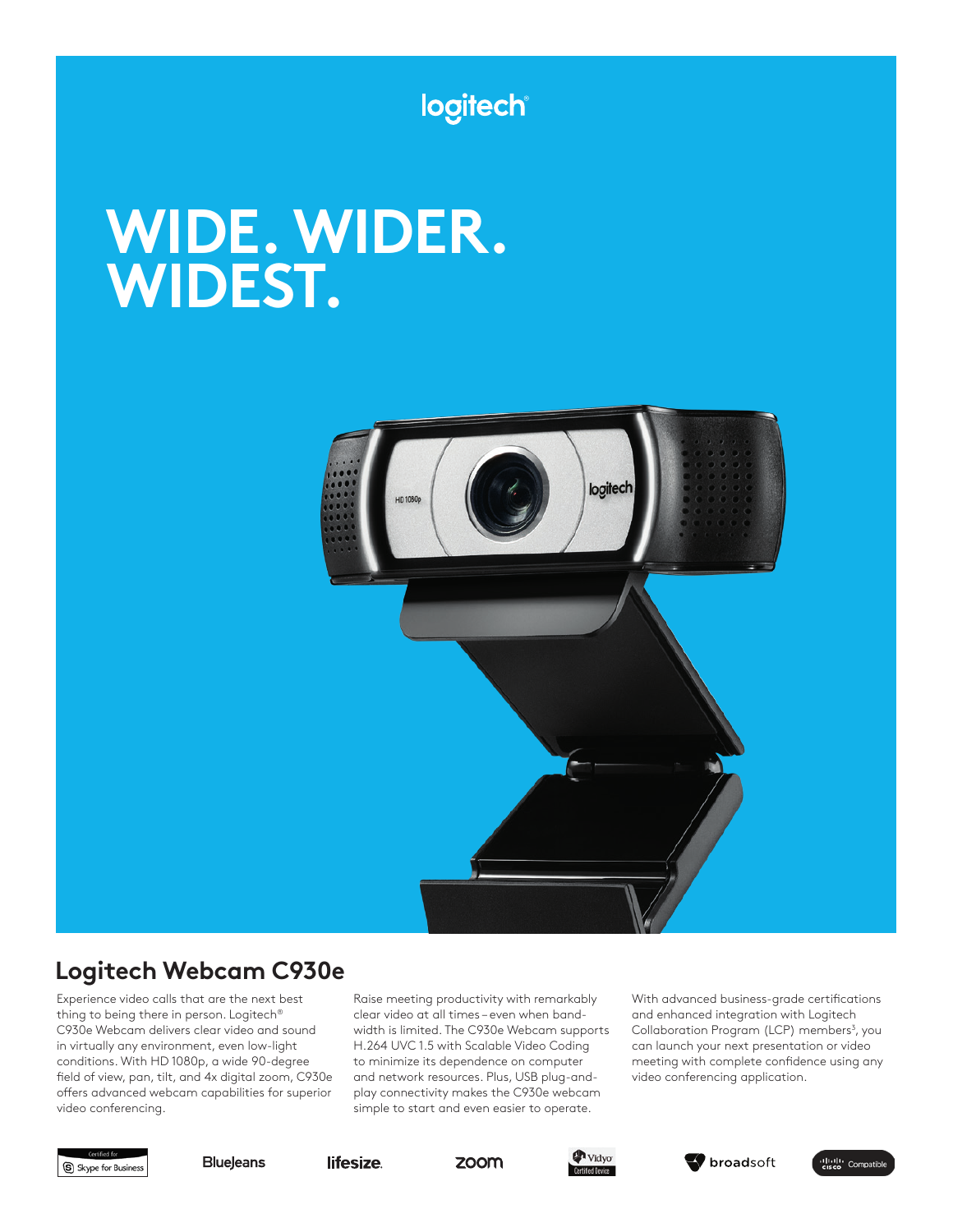

# **WIDE. WIDER. WIDEST.**



# **Logitech Webcam C930e**

Experience video calls that are the next best thing to being there in person. Logitech® C930e Webcam delivers clear video and sound in virtually any environment, even low-light conditions. With HD 1080p, a wide 90-degree field of view, pan, tilt, and 4x digital zoom, C930e offers advanced webcam capabilities for superior video conferencing.

Raise meeting productivity with remarkably clear video at all times – even when bandwidth is limited. The C930e Webcam supports H.264 UVC 1.5 with Scalable Video Coding to minimize its dependence on computer and network resources. Plus, USB plug-andplay connectivity makes the C930e webcam simple to start and even easier to operate.

With advanced business-grade certifications and enhanced integration with Logitech Collaboration Program (LCP) members<sup>3</sup>, you can launch your next presentation or video meeting with complete confidence using any video conferencing application.